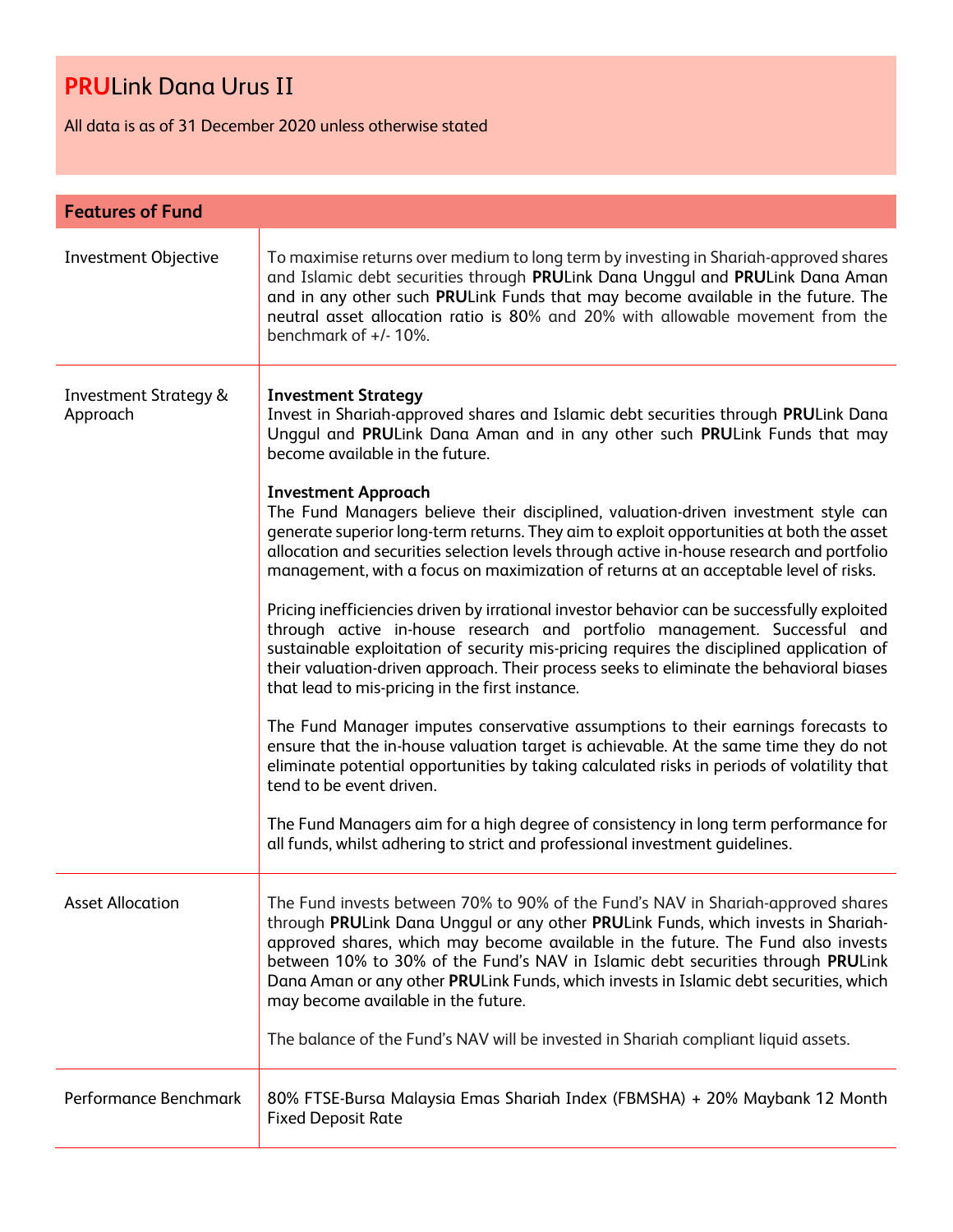All data is as of 31 December 2020 unless otherwise stated

| <b>Features of Fund</b>                      |                                                                                                                                                                                                                                                                                                                                                                                                                                                                                                                                                                                                                                                                                                                                                                                                                                                                                                                                                                                                                                                                                                                                                                                                                                                                                                                                                                                                                                                                                                                                           |  |
|----------------------------------------------|-------------------------------------------------------------------------------------------------------------------------------------------------------------------------------------------------------------------------------------------------------------------------------------------------------------------------------------------------------------------------------------------------------------------------------------------------------------------------------------------------------------------------------------------------------------------------------------------------------------------------------------------------------------------------------------------------------------------------------------------------------------------------------------------------------------------------------------------------------------------------------------------------------------------------------------------------------------------------------------------------------------------------------------------------------------------------------------------------------------------------------------------------------------------------------------------------------------------------------------------------------------------------------------------------------------------------------------------------------------------------------------------------------------------------------------------------------------------------------------------------------------------------------------------|--|
| <b>Investment Objective</b>                  | To maximise returns over medium to long term by investing in Shariah-approved shares<br>and Islamic debt securities through PRULink Dana Unggul and PRULink Dana Aman<br>and in any other such PRULink Funds that may become available in the future. The<br>neutral asset allocation ratio is 80% and 20% with allowable movement from the<br>benchmark of $+/-10\%$ .                                                                                                                                                                                                                                                                                                                                                                                                                                                                                                                                                                                                                                                                                                                                                                                                                                                                                                                                                                                                                                                                                                                                                                   |  |
| <b>Investment Strategy &amp;</b><br>Approach | <b>Investment Strategy</b><br>Invest in Shariah-approved shares and Islamic debt securities through PRULink Dana<br>Unggul and PRULink Dana Aman and in any other such PRULink Funds that may<br>become available in the future.<br><b>Investment Approach</b><br>The Fund Managers believe their disciplined, valuation-driven investment style can<br>generate superior long-term returns. They aim to exploit opportunities at both the asset<br>allocation and securities selection levels through active in-house research and portfolio<br>management, with a focus on maximization of returns at an acceptable level of risks.<br>Pricing inefficiencies driven by irrational investor behavior can be successfully exploited<br>through active in-house research and portfolio management. Successful and<br>sustainable exploitation of security mis-pricing requires the disciplined application of<br>their valuation-driven approach. Their process seeks to eliminate the behavioral biases<br>that lead to mis-pricing in the first instance.<br>The Fund Manager imputes conservative assumptions to their earnings forecasts to<br>ensure that the in-house valuation target is achievable. At the same time they do not<br>eliminate potential opportunities by taking calculated risks in periods of volatility that<br>tend to be event driven.<br>The Fund Managers aim for a high degree of consistency in long term performance for<br>all funds, whilst adhering to strict and professional investment guidelines. |  |
| <b>Asset Allocation</b>                      | The Fund invests between 70% to 90% of the Fund's NAV in Shariah-approved shares<br>through PRULink Dana Unggul or any other PRULink Funds, which invests in Shariah-<br>approved shares, which may become available in the future. The Fund also invests<br>between 10% to 30% of the Fund's NAV in Islamic debt securities through PRULink<br>Dana Aman or any other PRULink Funds, which invests in Islamic debt securities, which<br>may become available in the future.<br>The balance of the Fund's NAV will be invested in Shariah compliant liquid assets.                                                                                                                                                                                                                                                                                                                                                                                                                                                                                                                                                                                                                                                                                                                                                                                                                                                                                                                                                                        |  |
| Performance Benchmark                        | 80% FTSE-Bursa Malaysia Emas Shariah Index (FBMSHA) + 20% Maybank 12 Month<br><b>Fixed Deposit Rate</b>                                                                                                                                                                                                                                                                                                                                                                                                                                                                                                                                                                                                                                                                                                                                                                                                                                                                                                                                                                                                                                                                                                                                                                                                                                                                                                                                                                                                                                   |  |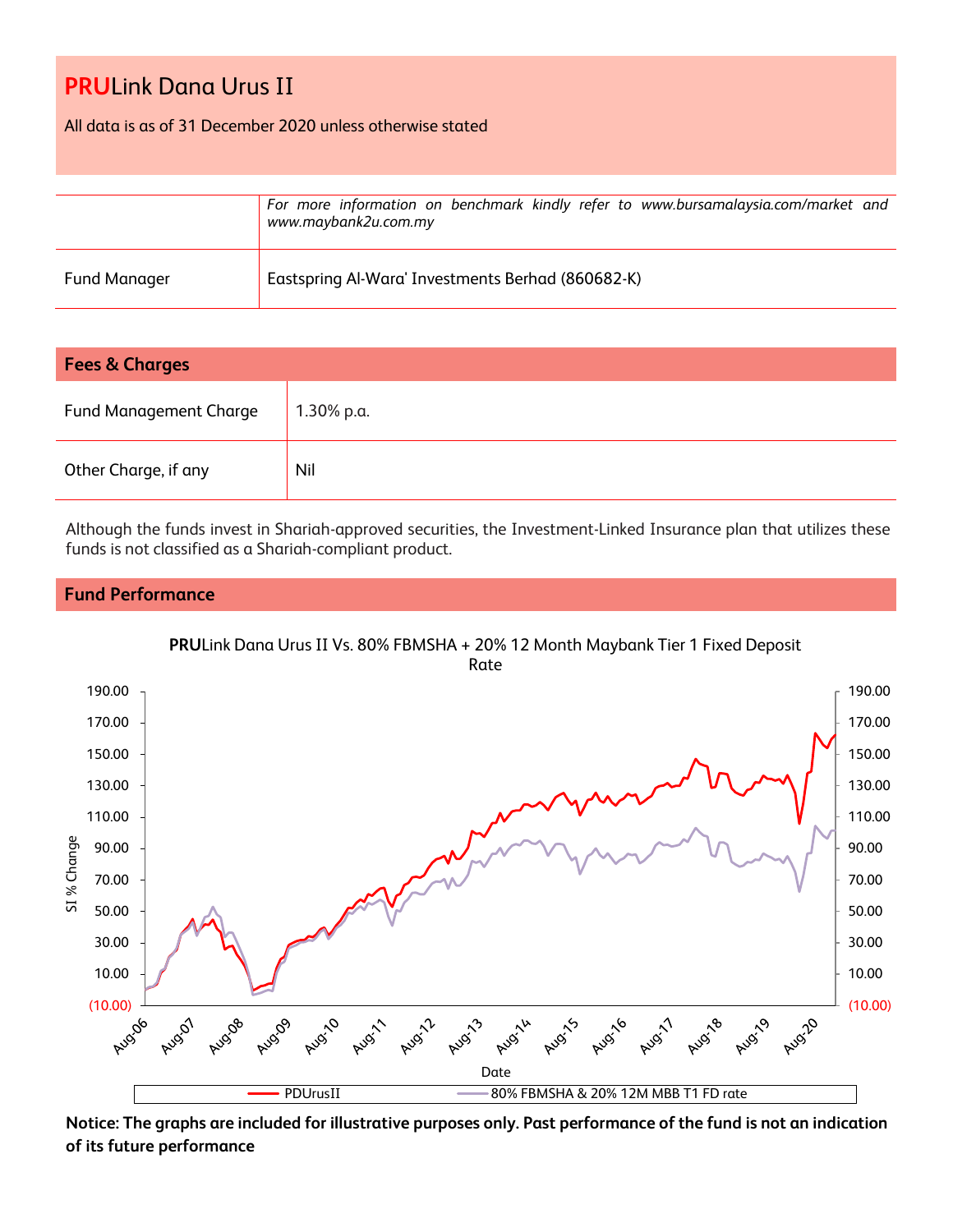All data is as of 31 December 2020 unless otherwise stated

|                     | For more information on benchmark kindly refer to www.bursamalaysia.com/market and<br>www.maybank2u.com.my |
|---------------------|------------------------------------------------------------------------------------------------------------|
| <b>Fund Manager</b> | Eastspring Al-Wara' Investments Berhad (860682-K)                                                          |

| <b>Fees &amp; Charges</b>     |            |  |
|-------------------------------|------------|--|
| <b>Fund Management Charge</b> | 1.30% p.a. |  |
| Other Charge, if any          | Nil        |  |

Although the funds invest in Shariah-approved securities, the Investment-Linked Insurance plan that utilizes these funds is not classified as a Shariah-compliant product.

## **Fund Performance**



**Notice: The graphs are included for illustrative purposes only. Past performance of the fund is not an indication of its future performance**

**PRU**Link Dana Urus II Vs. 80% FBMSHA + 20% 12 Month Maybank Tier 1 Fixed Deposit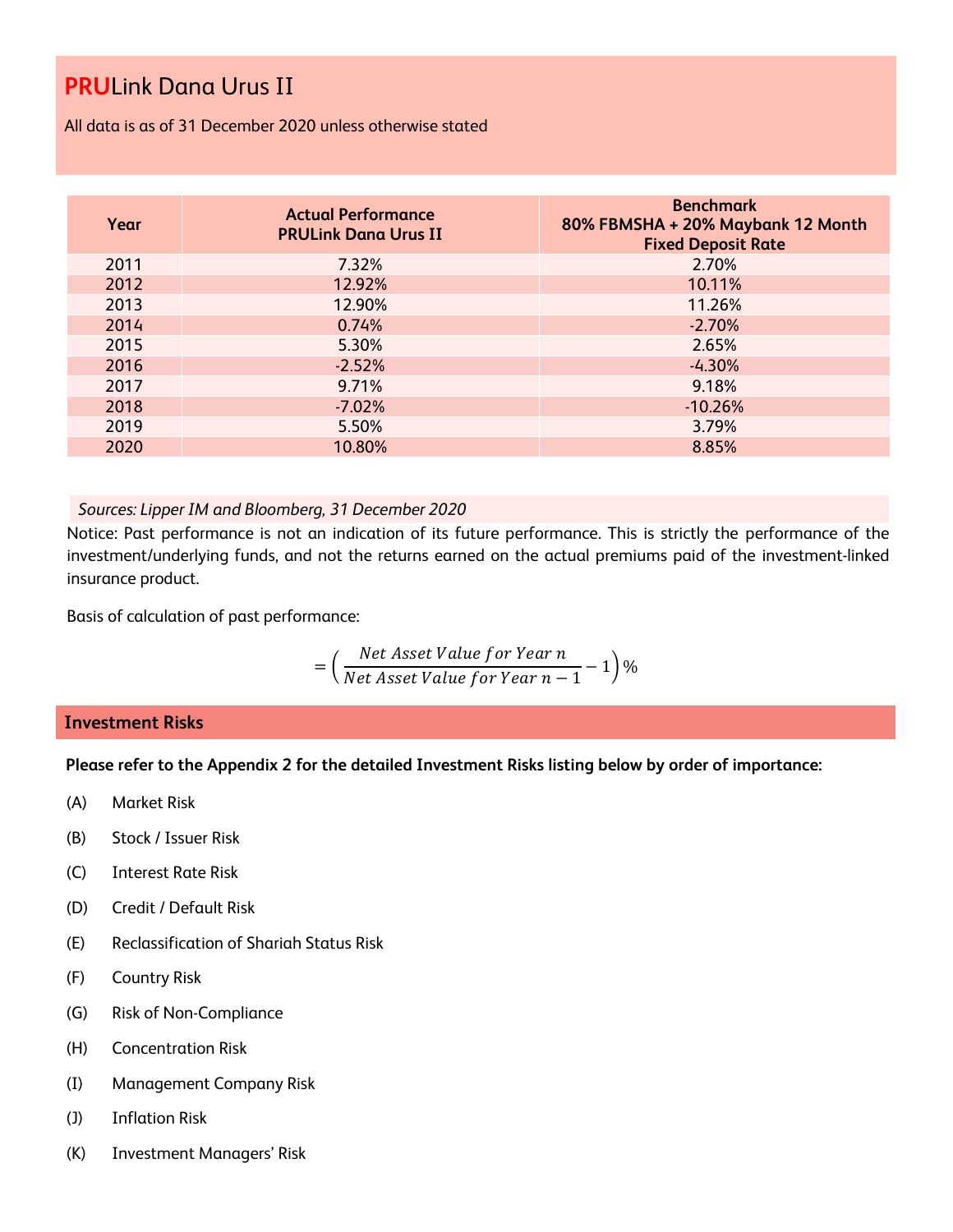All data is as of 31 December 2020 unless otherwise stated

| Year | <b>Actual Performance</b><br><b>PRULink Dana Urus II</b> | <b>Benchmark</b><br>80% FBMSHA + 20% Maybank 12 Month<br><b>Fixed Deposit Rate</b> |
|------|----------------------------------------------------------|------------------------------------------------------------------------------------|
| 2011 | 7.32%                                                    | 2.70%                                                                              |
| 2012 | 12.92%                                                   | 10.11%                                                                             |
| 2013 | 12.90%                                                   | 11.26%                                                                             |
| 2014 | 0.74%                                                    | $-2.70%$                                                                           |
| 2015 | 5.30%                                                    | 2.65%                                                                              |
| 2016 | $-2.52%$                                                 | $-4.30%$                                                                           |
| 2017 | 9.71%                                                    | 9.18%                                                                              |
| 2018 | $-7.02%$                                                 | $-10.26%$                                                                          |
| 2019 | 5.50%                                                    | 3.79%                                                                              |
| 2020 | 10.80%                                                   | 8.85%                                                                              |

### *Sources: Lipper IM and Bloomberg, 31 December 2020*

Notice: Past performance is not an indication of its future performance. This is strictly the performance of the investment/underlying funds, and not the returns earned on the actual premiums paid of the investment-linked insurance product.

Basis of calculation of past performance:

$$
= \left(\frac{Net\text{ Asset Value for Year }n}{Net\text{ Asset Value for Year }n-1}-1\right)\%
$$

### **Investment Risks**

**Please refer to the Appendix 2 for the detailed Investment Risks listing below by order of importance:**

- (A) Market Risk
- (B) Stock / Issuer Risk
- (C) Interest Rate Risk
- (D) Credit / Default Risk
- (E) Reclassification of Shariah Status Risk
- (F) Country Risk
- (G) Risk of Non-Compliance
- (H) Concentration Risk
- (I) Management Company Risk
- (J) Inflation Risk
- (K) Investment Managers' Risk